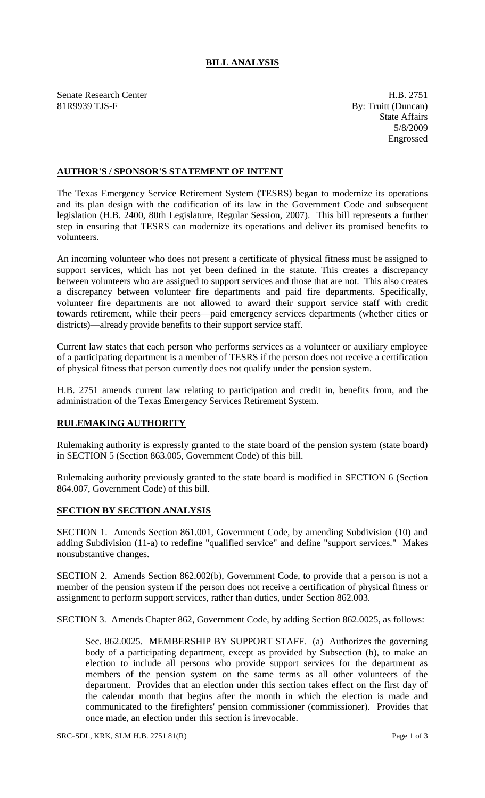## **BILL ANALYSIS**

Senate Research Center **H.B. 2751** 81R9939 TJS-F By: Truitt (Duncan)

State Affairs 5/8/2009 Engrossed

## **AUTHOR'S / SPONSOR'S STATEMENT OF INTENT**

The Texas Emergency Service Retirement System (TESRS) began to modernize its operations and its plan design with the codification of its law in the Government Code and subsequent legislation (H.B. 2400, 80th Legislature, Regular Session, 2007). This bill represents a further step in ensuring that TESRS can modernize its operations and deliver its promised benefits to volunteers.

An incoming volunteer who does not present a certificate of physical fitness must be assigned to support services, which has not yet been defined in the statute. This creates a discrepancy between volunteers who are assigned to support services and those that are not. This also creates a discrepancy between volunteer fire departments and paid fire departments. Specifically, volunteer fire departments are not allowed to award their support service staff with credit towards retirement, while their peers—paid emergency services departments (whether cities or districts)—already provide benefits to their support service staff.

Current law states that each person who performs services as a volunteer or auxiliary employee of a participating department is a member of TESRS if the person does not receive a certification of physical fitness that person currently does not qualify under the pension system.

H.B. 2751 amends current law relating to participation and credit in, benefits from, and the administration of the Texas Emergency Services Retirement System.

## **RULEMAKING AUTHORITY**

Rulemaking authority is expressly granted to the state board of the pension system (state board) in SECTION 5 (Section 863.005, Government Code) of this bill.

Rulemaking authority previously granted to the state board is modified in SECTION 6 (Section 864.007, Government Code) of this bill.

## **SECTION BY SECTION ANALYSIS**

SECTION 1. Amends Section 861.001, Government Code, by amending Subdivision (10) and adding Subdivision (11-a) to redefine "qualified service" and define "support services." Makes nonsubstantive changes.

SECTION 2. Amends Section 862.002(b), Government Code, to provide that a person is not a member of the pension system if the person does not receive a certification of physical fitness or assignment to perform support services, rather than duties, under Section 862.003.

SECTION 3. Amends Chapter 862, Government Code, by adding Section 862.0025, as follows:

Sec. 862.0025. MEMBERSHIP BY SUPPORT STAFF. (a) Authorizes the governing body of a participating department, except as provided by Subsection (b), to make an election to include all persons who provide support services for the department as members of the pension system on the same terms as all other volunteers of the department. Provides that an election under this section takes effect on the first day of the calendar month that begins after the month in which the election is made and communicated to the firefighters' pension commissioner (commissioner). Provides that once made, an election under this section is irrevocable.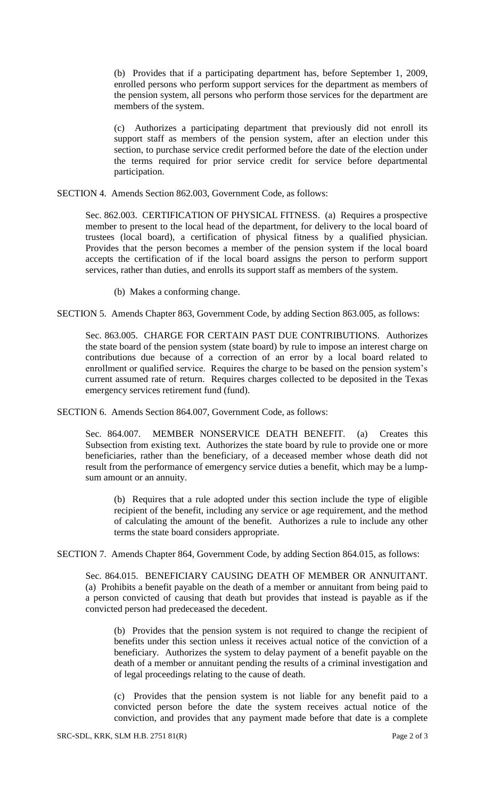(b) Provides that if a participating department has, before September 1, 2009, enrolled persons who perform support services for the department as members of the pension system, all persons who perform those services for the department are members of the system.

(c) Authorizes a participating department that previously did not enroll its support staff as members of the pension system, after an election under this section, to purchase service credit performed before the date of the election under the terms required for prior service credit for service before departmental participation.

SECTION 4. Amends Section 862.003, Government Code, as follows:

Sec. 862.003. CERTIFICATION OF PHYSICAL FITNESS. (a) Requires a prospective member to present to the local head of the department, for delivery to the local board of trustees (local board), a certification of physical fitness by a qualified physician. Provides that the person becomes a member of the pension system if the local board accepts the certification of if the local board assigns the person to perform support services, rather than duties, and enrolls its support staff as members of the system.

(b) Makes a conforming change.

SECTION 5. Amends Chapter 863, Government Code, by adding Section 863.005, as follows:

Sec. 863.005. CHARGE FOR CERTAIN PAST DUE CONTRIBUTIONS. Authorizes the state board of the pension system (state board) by rule to impose an interest charge on contributions due because of a correction of an error by a local board related to enrollment or qualified service. Requires the charge to be based on the pension system's current assumed rate of return. Requires charges collected to be deposited in the Texas emergency services retirement fund (fund).

SECTION 6. Amends Section 864.007, Government Code, as follows:

Sec. 864.007. MEMBER NONSERVICE DEATH BENEFIT. (a) Creates this Subsection from existing text. Authorizes the state board by rule to provide one or more beneficiaries, rather than the beneficiary, of a deceased member whose death did not result from the performance of emergency service duties a benefit, which may be a lumpsum amount or an annuity.

(b) Requires that a rule adopted under this section include the type of eligible recipient of the benefit, including any service or age requirement, and the method of calculating the amount of the benefit. Authorizes a rule to include any other terms the state board considers appropriate.

SECTION 7. Amends Chapter 864, Government Code, by adding Section 864.015, as follows:

Sec. 864.015. BENEFICIARY CAUSING DEATH OF MEMBER OR ANNUITANT. (a) Prohibits a benefit payable on the death of a member or annuitant from being paid to a person convicted of causing that death but provides that instead is payable as if the convicted person had predeceased the decedent.

(b) Provides that the pension system is not required to change the recipient of benefits under this section unless it receives actual notice of the conviction of a beneficiary. Authorizes the system to delay payment of a benefit payable on the death of a member or annuitant pending the results of a criminal investigation and of legal proceedings relating to the cause of death.

(c) Provides that the pension system is not liable for any benefit paid to a convicted person before the date the system receives actual notice of the conviction, and provides that any payment made before that date is a complete